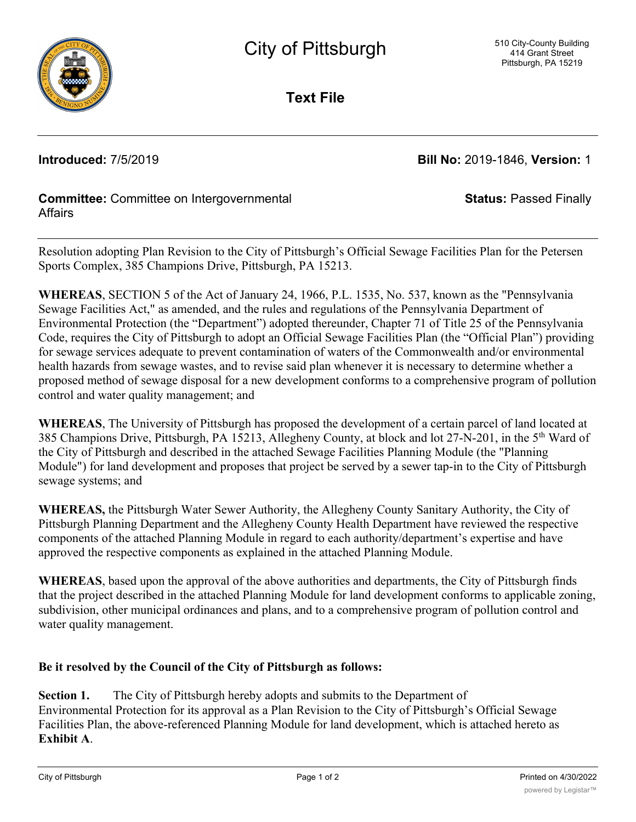

**Text File**

**Introduced:** 7/5/2019 **Bill No:** 2019-1846, **Version:** 1

**Status:** Passed Finally

## **Committee:** Committee on Intergovernmental **Affairs**

Resolution adopting Plan Revision to the City of Pittsburgh's Official Sewage Facilities Plan for the Petersen Sports Complex, 385 Champions Drive, Pittsburgh, PA 15213.

**WHEREAS**, SECTION 5 of the Act of January 24, 1966, P.L. 1535, No. 537, known as the "Pennsylvania Sewage Facilities Act," as amended, and the rules and regulations of the Pennsylvania Department of Environmental Protection (the "Department") adopted thereunder, Chapter 71 of Title 25 of the Pennsylvania Code, requires the City of Pittsburgh to adopt an Official Sewage Facilities Plan (the "Official Plan") providing for sewage services adequate to prevent contamination of waters of the Commonwealth and/or environmental health hazards from sewage wastes, and to revise said plan whenever it is necessary to determine whether a proposed method of sewage disposal for a new development conforms to a comprehensive program of pollution control and water quality management; and

**WHEREAS**, The University of Pittsburgh has proposed the development of a certain parcel of land located at 385 Champions Drive, Pittsburgh, PA 15213, Allegheny County, at block and lot 27-N-201, in the 5th Ward of the City of Pittsburgh and described in the attached Sewage Facilities Planning Module (the "Planning Module") for land development and proposes that project be served by a sewer tap-in to the City of Pittsburgh sewage systems; and

**WHEREAS,** the Pittsburgh Water Sewer Authority, the Allegheny County Sanitary Authority, the City of Pittsburgh Planning Department and the Allegheny County Health Department have reviewed the respective components of the attached Planning Module in regard to each authority/department's expertise and have approved the respective components as explained in the attached Planning Module.

**WHEREAS**, based upon the approval of the above authorities and departments, the City of Pittsburgh finds that the project described in the attached Planning Module for land development conforms to applicable zoning, subdivision, other municipal ordinances and plans, and to a comprehensive program of pollution control and water quality management.

## **Be it resolved by the Council of the City of Pittsburgh as follows:**

**Section 1.** The City of Pittsburgh hereby adopts and submits to the Department of Environmental Protection for its approval as a Plan Revision to the City of Pittsburgh's Official Sewage Facilities Plan, the above-referenced Planning Module for land development, which is attached hereto as **Exhibit A**.